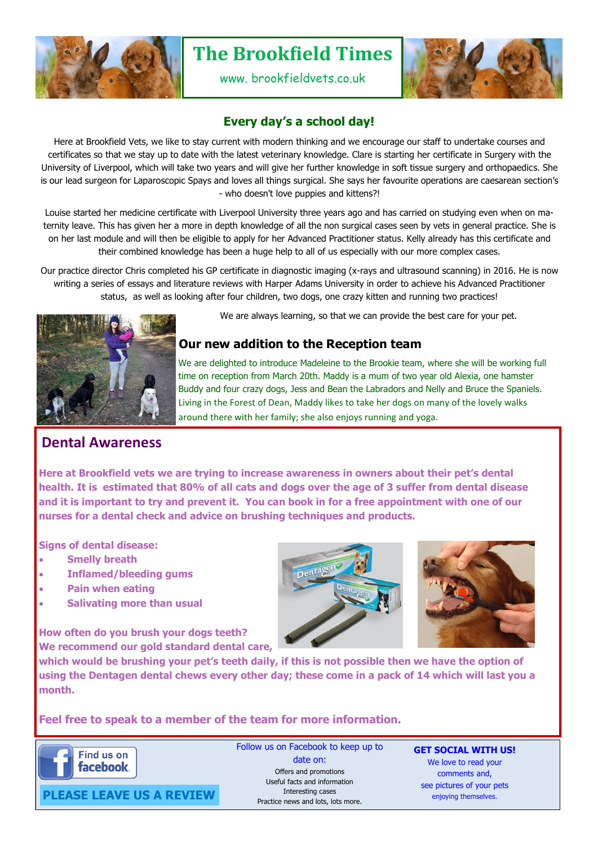

# **The Brookfield Times**

www. brookfieldvets.co.uk



# **Every day's a school day!**

Here at Brookfield Vets, we like to stay current with modern thinking and we encourage our staff to undertake courses and certificates so that we stay up to date with the latest veterinary knowledge. Clare is starting her certificate in Surgery with the University of Liverpool, which will take two years and will give her further knowledge in soft tissue surgery and orthopaedics. She is our lead surgeon for Laparoscopic Spays and loves all things surgical. She says her favourite operations are caesarean section's - who doesn't love puppies and kittens?!

Louise started her medicine certificate with Liverpool University three years ago and has carried on studying even when on maternity leave. This has given her a more in depth knowledge of all the non surgical cases seen by vets in general practice. She is on her last module and will then be eligible to apply for her Advanced Practitioner status. Kelly already has this certificate and their combined knowledge has been a huge help to all of us especially with our more complex cases.

Our practice director Chris completed his GP certificate in diagnostic imaging (x-rays and ultrasound scanning) in 2016. He is now writing a series of essays and literature reviews with Harper Adams University in order to achieve his Advanced Practitioner status, as well as looking after four children, two dogs, one crazy kitten and running two practices!



We are always learning, so that we can provide the best care for your pet.

## **Our new addition to the Reception team**

We are delighted to introduce Madeleine to the Brookie team, where she will be working full time on reception from March 20th. Maddy is a mum of two year old Alexia, one hamster Buddy and four crazy dogs, Jess and Bean the Labradors and Nelly and Bruce the Spaniels. Living in the Forest of Dean, Maddy likes to take her dogs on many of the lovely walks around there with her family; she also enjoys running and yoga.

# **Dental Awareness**

**Here at Brookfield vets we are trying to increase awareness in owners about their pet's dental health. It is estimated that 80% of all cats and dogs over the age of 3 suffer from dental disease and it is important to try and prevent it. You can book in for a free appointment with one of our nurses for a dental check and advice on brushing techniques and products.**

**Signs of dental disease:**

- **Smelly breath**
- **Inflamed/bleeding gums**
- **Pain when eating**
- **Salivating more than usual**

**How often do you brush your dogs teeth? We recommend our gold standard dental care,** 





**which would be brushing your pet's teeth daily, if this is not possible then we have the option of using the Dentagen dental chews every other day; these come in a pack of 14 which will last you a month.** 

### **Feel free to speak to a member of the team for more information.**



Follow us on Facebook to keep up to date on: Offers and promotions Useful facts and information Interesting cases Practice news and lots, lots more.

**GET SOCIAL WITH US!** We love to read your comments and, see pictures of your pets enjoying themselves.